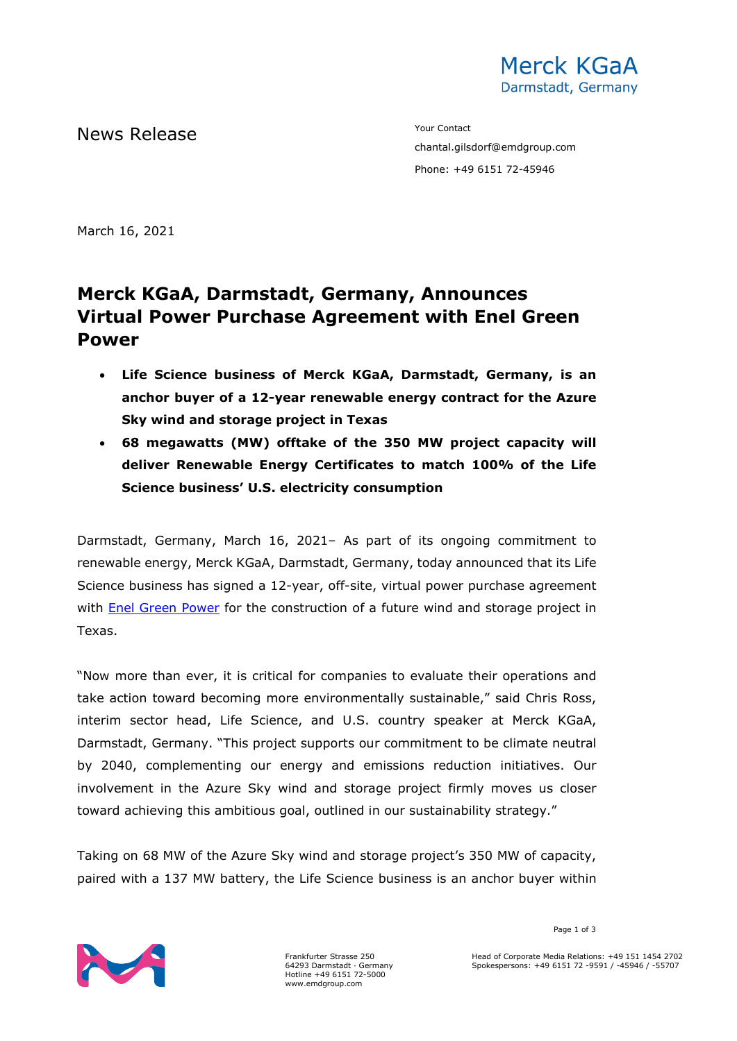

News Release The Contact Terms of the Mean of the Mean of the Vour Contact

chantal.gilsdorf@emdgroup.com Phone: +49 6151 72-45946

March 16, 2021

# **Merck KGaA, Darmstadt, Germany, Announces Virtual Power Purchase Agreement with Enel Green Power**

- **Life Science business of Merck KGaA, Darmstadt, Germany, is an anchor buyer of a 12-year renewable energy contract for the Azure Sky wind and storage project in Texas**
- **68 megawatts (MW) offtake of the 350 MW project capacity will deliver Renewable Energy Certificates to match 100% of the Life Science business' U.S. electricity consumption**

Darmstadt, Germany, March 16, 2021– As part of its ongoing commitment to renewable energy, Merck KGaA, Darmstadt, Germany, today announced that its Life Science business has signed a 12-year, off-site, virtual power purchase agreement with [Enel Green Power](https://www.enelgreenpower.com/our-projects/under-construction/azure-sky-wind-storage-project) for the construction of a future wind and storage project in Texas.

"Now more than ever, it is critical for companies to evaluate their operations and take action toward becoming more environmentally sustainable," said Chris Ross, interim sector head, Life Science, and U.S. country speaker at Merck KGaA, Darmstadt, Germany. "This project supports our commitment to be climate neutral by 2040, complementing our energy and emissions reduction initiatives. Our involvement in the Azure Sky wind and storage project firmly moves us closer toward achieving this ambitious goal, outlined in our sustainability strategy."

Taking on 68 MW of the Azure Sky wind and storage project's 350 MW of capacity, paired with a 137 MW battery, the Life Science business is an anchor buyer within



Frankfurter Strasse 250 64293 Darmstadt · Germany Hotline +49 6151 72-5000 www.emdgroup.com

Page 1 of 3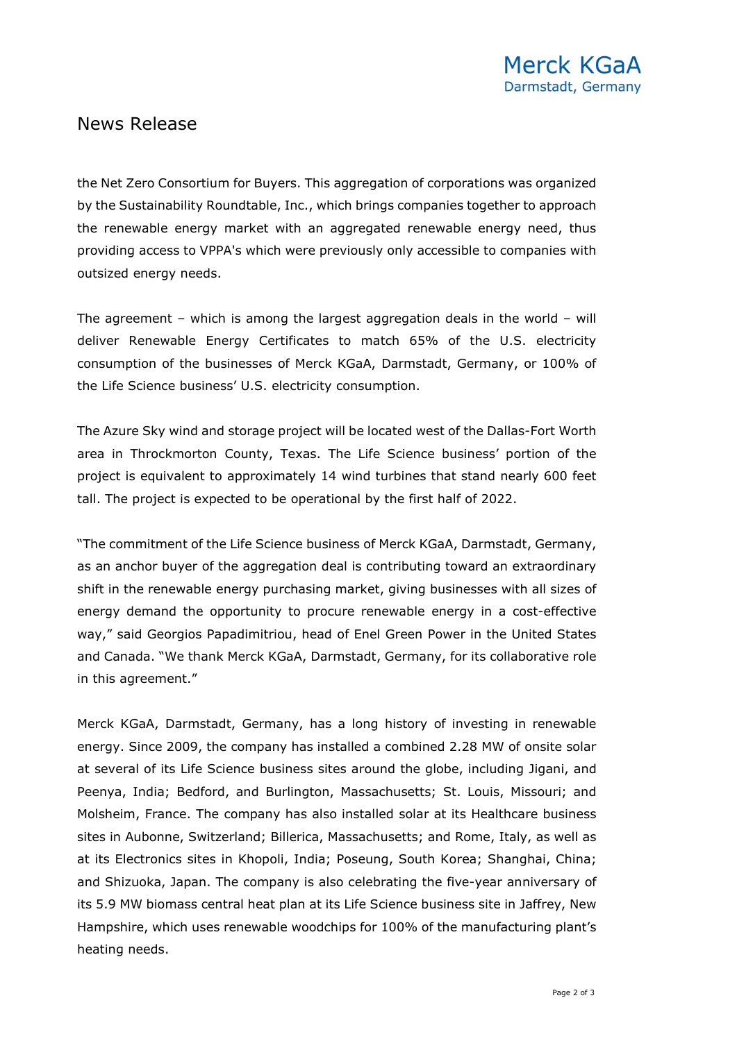## News Release

the Net Zero Consortium for Buyers. This aggregation of corporations was organized by the Sustainability Roundtable, Inc., which brings companies together to approach the renewable energy market with an aggregated renewable energy need, thus providing access to VPPA's which were previously only accessible to companies with outsized energy needs.

The agreement – which is among the largest aggregation deals in the world – will deliver Renewable Energy Certificates to match 65% of the U.S. electricity consumption of the businesses of Merck KGaA, Darmstadt, Germany, or 100% of the Life Science business' U.S. electricity consumption.

The Azure Sky wind and storage project will be located west of the Dallas-Fort Worth area in Throckmorton County, Texas. The Life Science business' portion of the project is equivalent to approximately 14 wind turbines that stand nearly 600 feet tall. The project is expected to be operational by the first half of 2022.

"The commitment of the Life Science business of Merck KGaA, Darmstadt, Germany, as an anchor buyer of the aggregation deal is contributing toward an extraordinary shift in the renewable energy purchasing market, giving businesses with all sizes of energy demand the opportunity to procure renewable energy in a cost-effective way," said Georgios Papadimitriou, head of Enel Green Power in the United States and Canada. "We thank Merck KGaA, Darmstadt, Germany, for its collaborative role in this agreement."

Merck KGaA, Darmstadt, Germany, has a long history of investing in renewable energy. Since 2009, the company has installed a combined 2.28 MW of onsite solar at several of its Life Science business sites around the globe, including Jigani, and Peenya, India; Bedford, and Burlington, Massachusetts; St. Louis, Missouri; and Molsheim, France. The company has also installed solar at its Healthcare business sites in Aubonne, Switzerland; Billerica, Massachusetts; and Rome, Italy, as well as at its Electronics sites in Khopoli, India; Poseung, South Korea; Shanghai, China; and Shizuoka, Japan. The company is also celebrating the five-year anniversary of its 5.9 MW biomass central heat plan at its Life Science business site in Jaffrey, New Hampshire, which uses renewable woodchips for 100% of the manufacturing plant's heating needs.